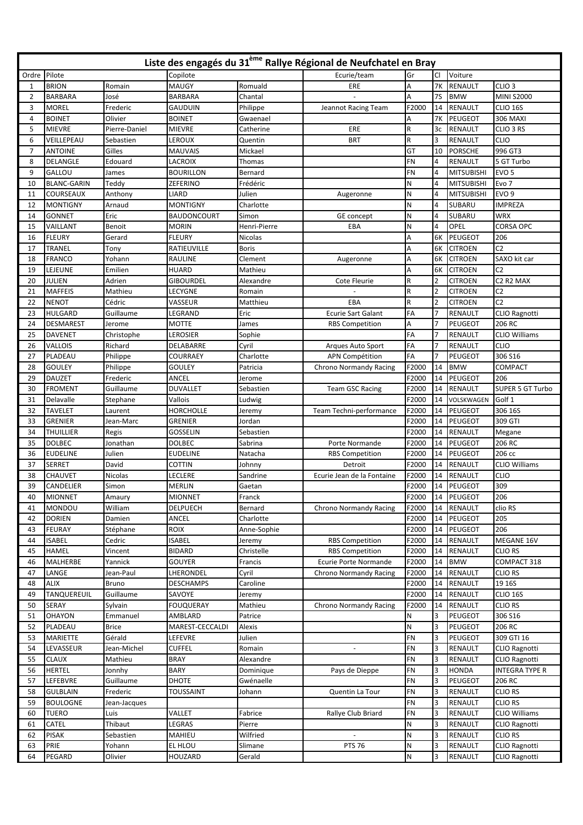| Liste des engagés du 31 <sup>ème</sup> Rallye Régional de Neufchatel en Bray |                    |                |                    |              |                               |       |                |                   |                                   |  |
|------------------------------------------------------------------------------|--------------------|----------------|--------------------|--------------|-------------------------------|-------|----------------|-------------------|-----------------------------------|--|
| Pilote<br>Ordre                                                              |                    |                | Copilote           | Ecurie/team  |                               | Gr    | <b>CI</b>      | Voiture           |                                   |  |
| 1                                                                            | <b>BRION</b>       | Romain         | <b>MAUGY</b>       | Romuald      | ERE                           | A     | <b>7K</b>      | RENAULT           | CLIO <sub>3</sub>                 |  |
| $\overline{2}$                                                               | <b>BARBARA</b>     | José           | <b>BARBARA</b>     | Chantal      |                               | Α     | <b>7S</b>      | <b>BMW</b>        | MINI S2000                        |  |
| 3                                                                            | <b>MOREL</b>       | Frederic       | <b>GAUDUIN</b>     | Philippe     | Jeannot Racing Team           | F2000 | 14             | <b>RENAULT</b>    | CLIO 16S                          |  |
| 4                                                                            | <b>BOINET</b>      | Olivier        | <b>BOINET</b>      | Gwaenael     |                               | А     | <b>7K</b>      | PEUGEOT           | <b>306 MAXI</b>                   |  |
| 5                                                                            | <b>MIEVRE</b>      | Pierre-Daniel  | <b>MIEVRE</b>      | Catherine    | ERE                           | R     | 3c             | <b>RENAULT</b>    | CLIO <sub>3</sub> RS              |  |
| 6                                                                            | VEILLEPEAU         | Sebastien      | LEROUX             | Quentin      | <b>BRT</b>                    | R     | 3              | RENAULT           | <b>CLIO</b>                       |  |
| $\overline{7}$                                                               | <b>ANTOINE</b>     | Gilles         | <b>MAUVAIS</b>     | Mickael      |                               | GT    | 10             | <b>PORSCHE</b>    | 996 GT3                           |  |
| 8                                                                            | DELANGLE           | Edouard        | <b>LACROIX</b>     | Thomas       |                               | FN    | 4              | <b>RENAULT</b>    | 5 GT Turbo                        |  |
| 9                                                                            | GALLOU             | James          | <b>BOURILLON</b>   | Bernard      |                               | FN    | 4              | <b>MITSUBISHI</b> | EVO <sub>5</sub>                  |  |
| 10                                                                           | <b>BLANC-GARIN</b> | Teddy          | <b>ZEFERINO</b>    | Frédéric     |                               | Ν     | 4              | <b>MITSUBISHI</b> | Evo 7                             |  |
| 11                                                                           | <b>COURSEAUX</b>   | Anthony        | <b>LIARD</b>       | Julien       | Augeronne                     | Ν     | 4              | <b>MITSUBISHI</b> | EVO <sub>9</sub>                  |  |
| 12                                                                           | <b>MONTIGNY</b>    | Arnaud         | <b>MONTIGNY</b>    | Charlotte    |                               | N     | 4              | SUBARU            | <b>IMPREZA</b>                    |  |
| 14                                                                           | <b>GONNET</b>      | Eric           | <b>BAUDONCOURT</b> | Simon        | GE concept                    | N     | 4              | SUBARU            | <b>WRX</b>                        |  |
| 15                                                                           | VAILLANT           | Benoit         | <b>MORIN</b>       | Henri-Pierre | EBA                           | Ν     | $\overline{4}$ | OPEL              | <b>CORSA OPC</b>                  |  |
| 16                                                                           | <b>FLEURY</b>      | Gerard         | <b>FLEURY</b>      | Nicolas      |                               | Α     | 6K             | PEUGEOT           | 206                               |  |
| 17                                                                           | TRANEL             | Tony           | <b>RATIEUVILLE</b> | Boris        |                               | Α     | 6K             | <b>CITROEN</b>    | C <sub>2</sub>                    |  |
| 18                                                                           | <b>FRANCO</b>      | Yohann         | <b>RAULINE</b>     | Clement      | Augeronne                     | Α     | 6K             | <b>CITROEN</b>    | SAXO kit car                      |  |
| 19                                                                           | LEJEUNE            | Emilien        | <b>HUARD</b>       | Mathieu      |                               | Α     | 6K             | <b>CITROEN</b>    | C <sub>2</sub>                    |  |
| 20                                                                           | <b>JULIEN</b>      | Adrien         | <b>GIBOURDEL</b>   | Alexandre    | Cote Fleurie                  | R     | $\overline{2}$ | <b>CITROEN</b>    | C <sub>2</sub> R <sub>2</sub> MAX |  |
| 21                                                                           | <b>MAFFEIS</b>     | Mathieu        | <b>LECYGNE</b>     | Romain       |                               | R     | $\overline{2}$ | <b>CITROEN</b>    | C <sub>2</sub>                    |  |
| 22                                                                           | <b>NENOT</b>       | Cédric         | VASSEUR            | Matthieu     | EBA                           | R     | $\overline{2}$ | <b>CITROEN</b>    | C <sub>2</sub>                    |  |
| 23                                                                           | <b>HULGARD</b>     | Guillaume      | LEGRAND            | Eric         | <b>Ecurie Sart Galant</b>     | FA    | 7              | RENAULT           | <b>CLIO Ragnotti</b>              |  |
| 24                                                                           | <b>DESMAREST</b>   | Jerome         | <b>MOTTE</b>       | James        | <b>RBS Competition</b>        | А     |                | PEUGEOT           | 206 RC                            |  |
| 25                                                                           | <b>DAVENET</b>     | Christophe     | LEROSIER           | Sophie       |                               | FA    |                | <b>RENAULT</b>    | <b>CLIO Williams</b>              |  |
| 26                                                                           | <b>VALLOIS</b>     | Richard        | DELABARRE          | Cyril        | Arques Auto Sport             | FA    | $\overline{7}$ | RENAULT           | <b>CLIO</b>                       |  |
| 27                                                                           | PLADEAU            | Philippe       | <b>COURRAEY</b>    | Charlotte    | <b>APN Compétition</b>        | FA    | $\overline{7}$ | PEUGEOT           | 306 S16                           |  |
| 28                                                                           | <b>GOULEY</b>      | Philippe       | <b>GOULEY</b>      | Patricia     | <b>Chrono Normandy Racing</b> | F2000 | 14             | <b>BMW</b>        | COMPACT                           |  |
| 29                                                                           | <b>DAUZET</b>      | Frederic       | ANCEL              | Jerome       |                               | F2000 | 14             | PEUGEOT           | 206                               |  |
| 30                                                                           | <b>FROMENT</b>     | Guillaume      | <b>DUVALLET</b>    | Sebastien    | <b>Team GSC Racing</b>        | F2000 | 14             | <b>RENAULT</b>    | <b>SUPER 5 GT Turbo</b>           |  |
| 31                                                                           | Delavalle          | Stephane       | Vallois            | Ludwig       |                               | F2000 | 14             | VOLSKWAGEN        | Golf 1                            |  |
| 32                                                                           | <b>TAVELET</b>     | Laurent        | <b>HORCHOLLE</b>   | Jeremy       | Team Techni-performance       | F2000 | 14             | <b>PEUGEOT</b>    | 306 16S                           |  |
| 33                                                                           | <b>GRENIER</b>     | Jean-Marc      | <b>GRENIER</b>     | Jordan       |                               | F2000 | 14             | PEUGEOT           | 309 GTI                           |  |
| 34                                                                           | <b>THUILLIER</b>   | Regis          | <b>GOSSELIN</b>    | Sebastien    |                               | F2000 | 14             | RENAULT           | Megane                            |  |
| 35                                                                           | <b>DOLBEC</b>      | Jonathan       | <b>DOLBEC</b>      | Sabrina      | Porte Normande                | F2000 | 14             | PEUGEOT           | 206 RC                            |  |
| 36                                                                           | <b>EUDELINE</b>    | Julien         | <b>EUDELINE</b>    | Natacha      | <b>RBS Competition</b>        | F2000 | 14             | PEUGEOT           | 206 cc                            |  |
| 37                                                                           | <b>SERRET</b>      | David          | <b>COTTIN</b>      | Johnny       | Detroit                       | F2000 | 14             | RENAULT           | <b>CLIO Williams</b>              |  |
| 38                                                                           | <b>CHAUVET</b>     | <b>Nicolas</b> | <b>LECLERE</b>     | Sandrine     | Ecurie Jean de la Fontaine    | F2000 | 14             | RENAULT           | <b>CLIO</b>                       |  |
| 39                                                                           | CANDELIER          | Simon          | <b>MERLIN</b>      | Gaetan       |                               | F2000 | 14             | <b>PEUGEOT</b>    | 309                               |  |
| 40                                                                           | <b>MIONNET</b>     | Amaury         | <b>MIONNET</b>     | Franck       |                               | F2000 |                | 14 PEUGEOT        | 206                               |  |
| 41                                                                           | MONDOU             | William        | <b>DELPUECH</b>    | Bernard      | <b>Chrono Normandy Racing</b> | F2000 | 14             | RENAULT           | clio RS                           |  |
| 42                                                                           | <b>DORIEN</b>      | Damien         | ANCEL              | Charlotte    |                               | F2000 | 14             | PEUGEOT           | 205                               |  |
| 43                                                                           | <b>FEURAY</b>      | Stéphane       | <b>ROIX</b>        | Anne-Sophie  |                               | F2000 | 14             | PEUGEOT           | 206                               |  |
| 44                                                                           | <b>ISABEL</b>      | Cedric         | <b>ISABEL</b>      | Jeremy       | <b>RBS Competition</b>        | F2000 | 14             | RENAULT           | MEGANE 16V                        |  |
| 45                                                                           | <b>HAMEL</b>       | Vincent        | <b>BIDARD</b>      | Christelle   | <b>RBS Competition</b>        | F2000 | 14             | RENAULT           | <b>CLIO RS</b>                    |  |
| 46                                                                           | MALHERBE           | Yannick        | <b>GOUYER</b>      | Francis      | Ecurie Porte Normande         | F2000 | 14             | <b>BMW</b>        | COMPACT 318                       |  |
| 47                                                                           | LANGE              | Jean-Paul      | LHERONDEL          | Cyril        | <b>Chrono Normandy Racing</b> | F2000 | 14             | RENAULT           | <b>CLIO RS</b>                    |  |
| 48                                                                           | <b>ALIX</b>        | Bruno          | <b>DESCHAMPS</b>   | Caroline     |                               | F2000 | 14             | RENAULT           | 19 16S                            |  |
| 49                                                                           | <b>TANQUEREUIL</b> | Guillaume      | SAVOYE             | Jeremy       |                               | F2000 | 14             | RENAULT           | <b>CLIO 16S</b>                   |  |
| 50                                                                           | <b>SERAY</b>       | Sylvain        | <b>FOUQUERAY</b>   | Mathieu      | <b>Chrono Normandy Racing</b> | F2000 | 14             | RENAULT           | <b>CLIO RS</b>                    |  |
| 51                                                                           | <b>OHAYON</b>      | Emmanuel       | AMBLARD            | Patrice      |                               | N     | 3              | PEUGEOT           | 306 S16                           |  |
| 52                                                                           | PLADEAU            | <b>Brice</b>   | MAREST-CECCALDI    | Alexis       |                               | N     | 3              | PEUGEOT           | 206 RC                            |  |
| 53                                                                           | <b>MARIETTE</b>    | Gérald         | LEFEVRE            | Julien       |                               | FN    | 3              | PEUGEOT           | 309 GTI 16                        |  |
| 54                                                                           | LEVASSEUR          | Jean-Michel    | <b>CUFFEL</b>      | Romain       | $\overline{\phantom{a}}$      | FN    | 3              | RENAULT           | CLIO Ragnotti                     |  |
| 55                                                                           | <b>CLAUX</b>       | Mathieu        | <b>BRAY</b>        | Alexandre    |                               | FN    | 3              | RENAULT           | CLIO Ragnotti                     |  |
| 56                                                                           | <b>HERTEL</b>      | Jonnhy         | <b>BARY</b>        | Dominique    | Pays de Dieppe                | FN    | 3              | <b>HONDA</b>      | <b>INTEGRA TYPE R</b>             |  |
| 57                                                                           | LEFEBVRE           | Guillaume      | <b>DHOTE</b>       | Gwénaelle    |                               | FN    | 3              | PEUGEOT           | 206 RC                            |  |
| 58                                                                           | <b>GULBLAIN</b>    | Frederic       | <b>TOUSSAINT</b>   | Johann       | Quentin La Tour               | FN    | 3              | RENAULT           | <b>CLIO RS</b>                    |  |
| 59                                                                           | <b>BOULOGNE</b>    | Jean-Jacques   |                    |              |                               | FN    | 3              | RENAULT           | CLIO RS                           |  |
| 60                                                                           | <b>TUERO</b>       | Luis           | VALLET             | Fabrice      | Rallye Club Briard            | FN    | 3              | RENAULT           | <b>CLIO Williams</b>              |  |
| 61                                                                           | CATEL              | Thibaut        | LEGRAS             | Pierre       |                               | N     | 3              | RENAULT           | CLIO Ragnotti                     |  |
| 62                                                                           | <b>PISAK</b>       | Sebastien      | MAHIEU             | Wilfried     |                               | N     | 3              | RENAULT           | <b>CLIO RS</b>                    |  |
| 63                                                                           | PRIE               | Yohann         | EL HLOU            | Slimane      | <b>PTS 76</b>                 | N     | 3              | RENAULT           | CLIO Ragnotti                     |  |
| 64                                                                           | PEGARD             | Olivier        | <b>HOUZARD</b>     | Gerald       |                               | N     | 3              | RENAULT           | CLIO Ragnotti                     |  |